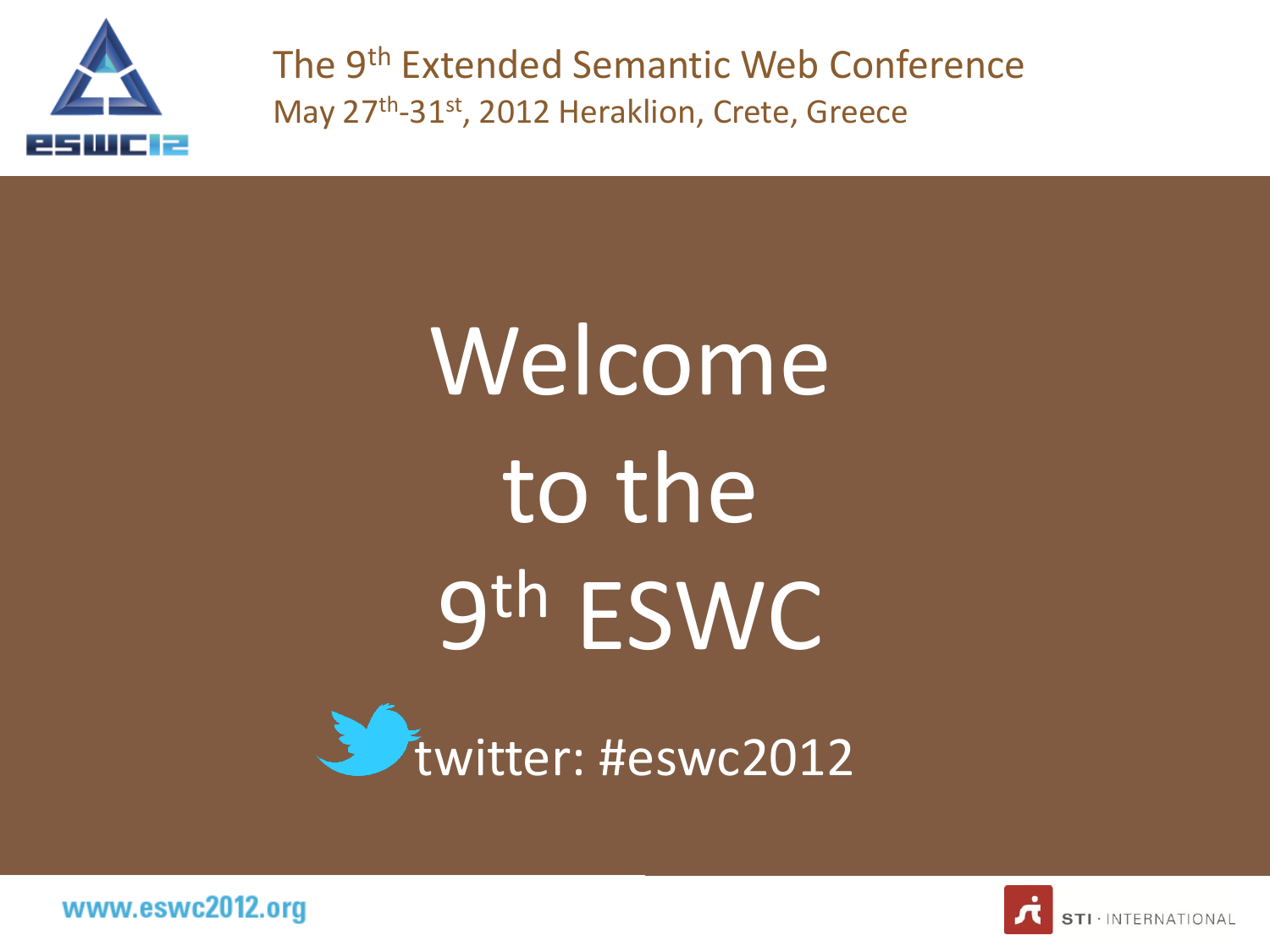

The 9th Extended Semantic Web Conference May 27<sup>th</sup>-31<sup>st</sup>, 2012 Heraklion, Crete, Greece

# Welcome to the 9 th ESWC





www.eswc2012.org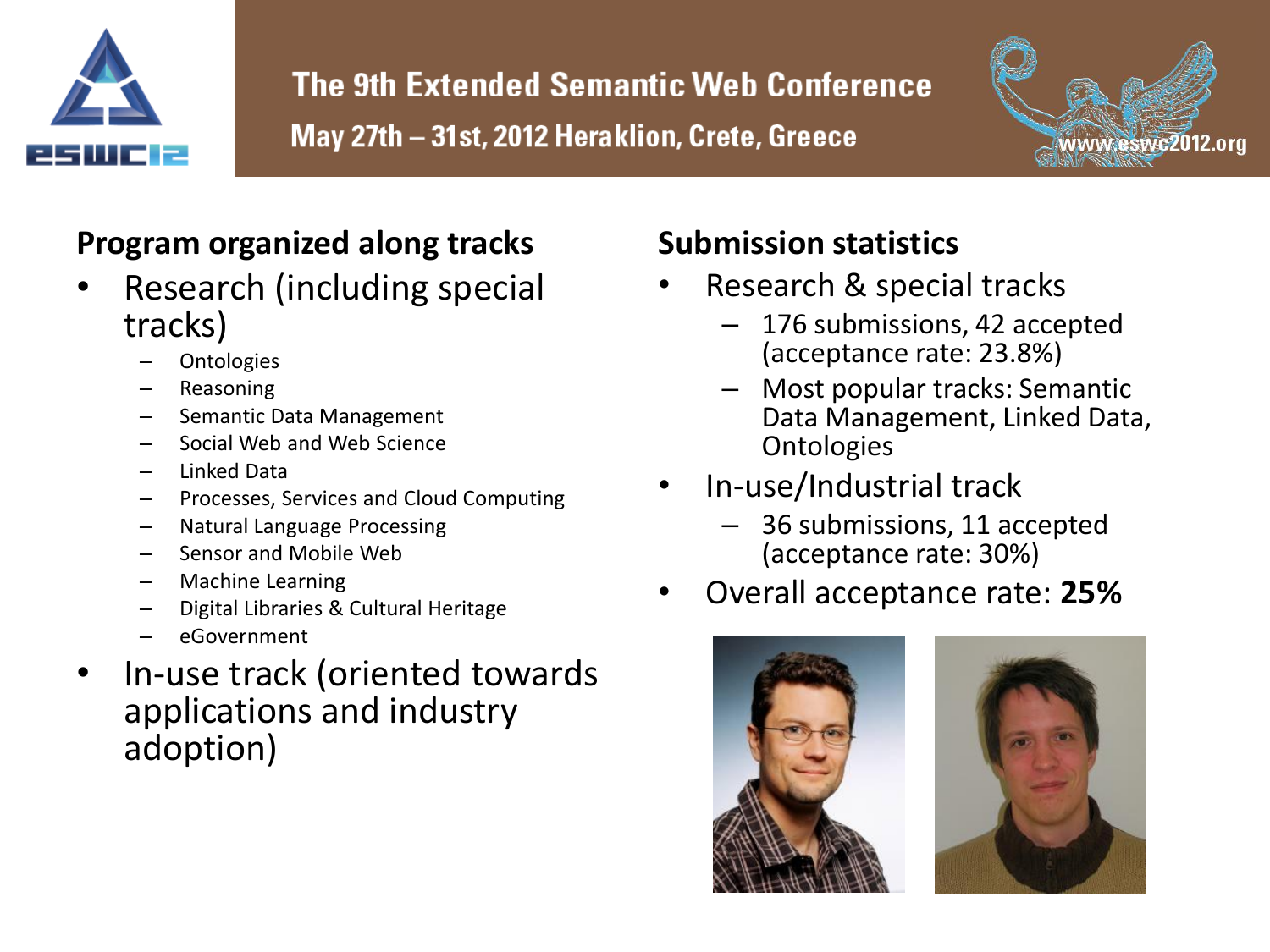



#### **Program organized along tracks**

- Research (including special tracks)
	- **Ontologies**
	- Reasoning
	- Semantic Data Management
	- Social Web and Web Science
	- Linked Data
	- Processes, Services and Cloud Computing
	- Natural Language Processing
	- Sensor and Mobile Web
	- Machine Learning
	- Digital Libraries & Cultural Heritage
	- eGovernment
- In-use track (oriented towards applications and industry adoption)

#### **Submission statistics**

- Research & special tracks
	- 176 submissions, 42 accepted (acceptance rate: 23.8%)
	- Most popular tracks: Semantic Data Management, Linked Data, **Ontologies**
- In-use/Industrial track
	- 36 submissions, 11 accepted (acceptance rate: 30%)
- Overall acceptance rate: **25%**



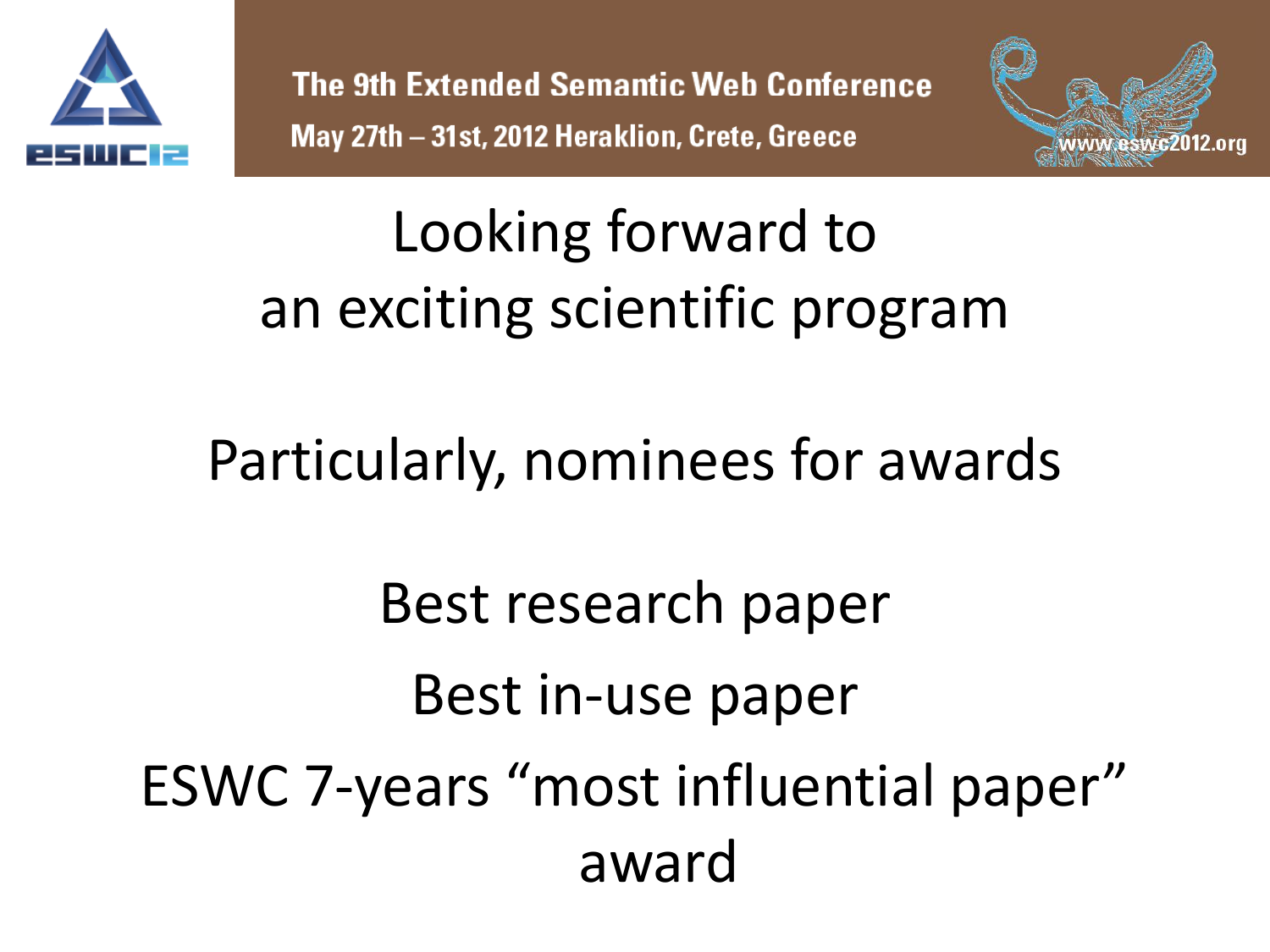



#### Looking forward to an exciting scientific program

#### Particularly, nominees for awards

# Best research paper Best in-use paper ESWC 7-years "most influential paper" award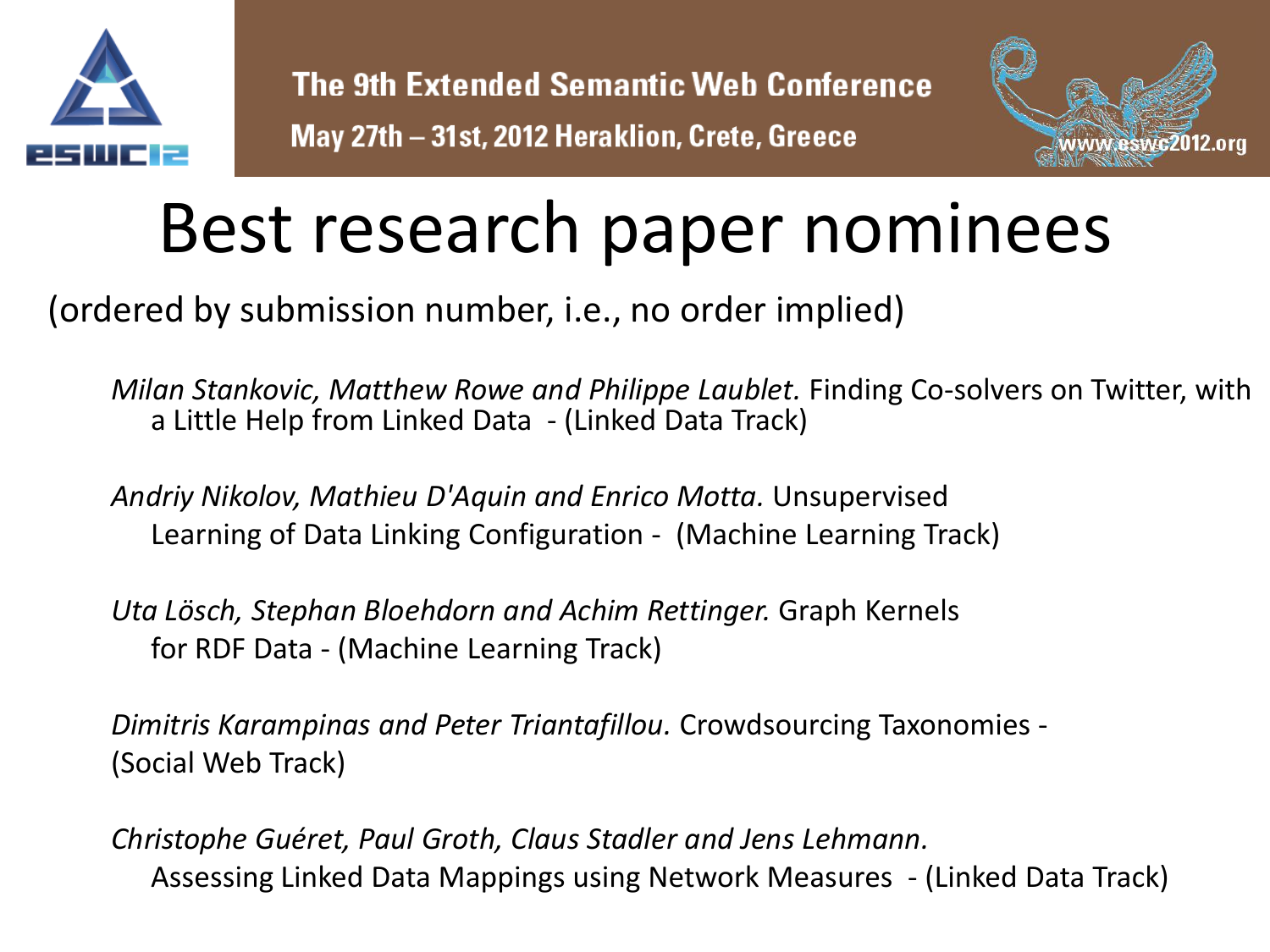



## Best research paper nominees

(ordered by submission number, i.e., no order implied)

*Milan Stankovic, Matthew Rowe and Philippe Laublet.* Finding Co-solvers on Twitter, with a Little Help from Linked Data - (Linked Data Track)

*Andriy Nikolov, Mathieu D'Aquin and Enrico Motta.* Unsupervised Learning of Data Linking Configuration - (Machine Learning Track)

*Uta Lösch, Stephan Bloehdorn and Achim Rettinger.* Graph Kernels for RDF Data - (Machine Learning Track)

*Dimitris Karampinas and Peter Triantafillou.* Crowdsourcing Taxonomies - (Social Web Track)

*Christophe Guéret, Paul Groth, Claus Stadler and Jens Lehmann.* Assessing Linked Data Mappings using Network Measures - (Linked Data Track)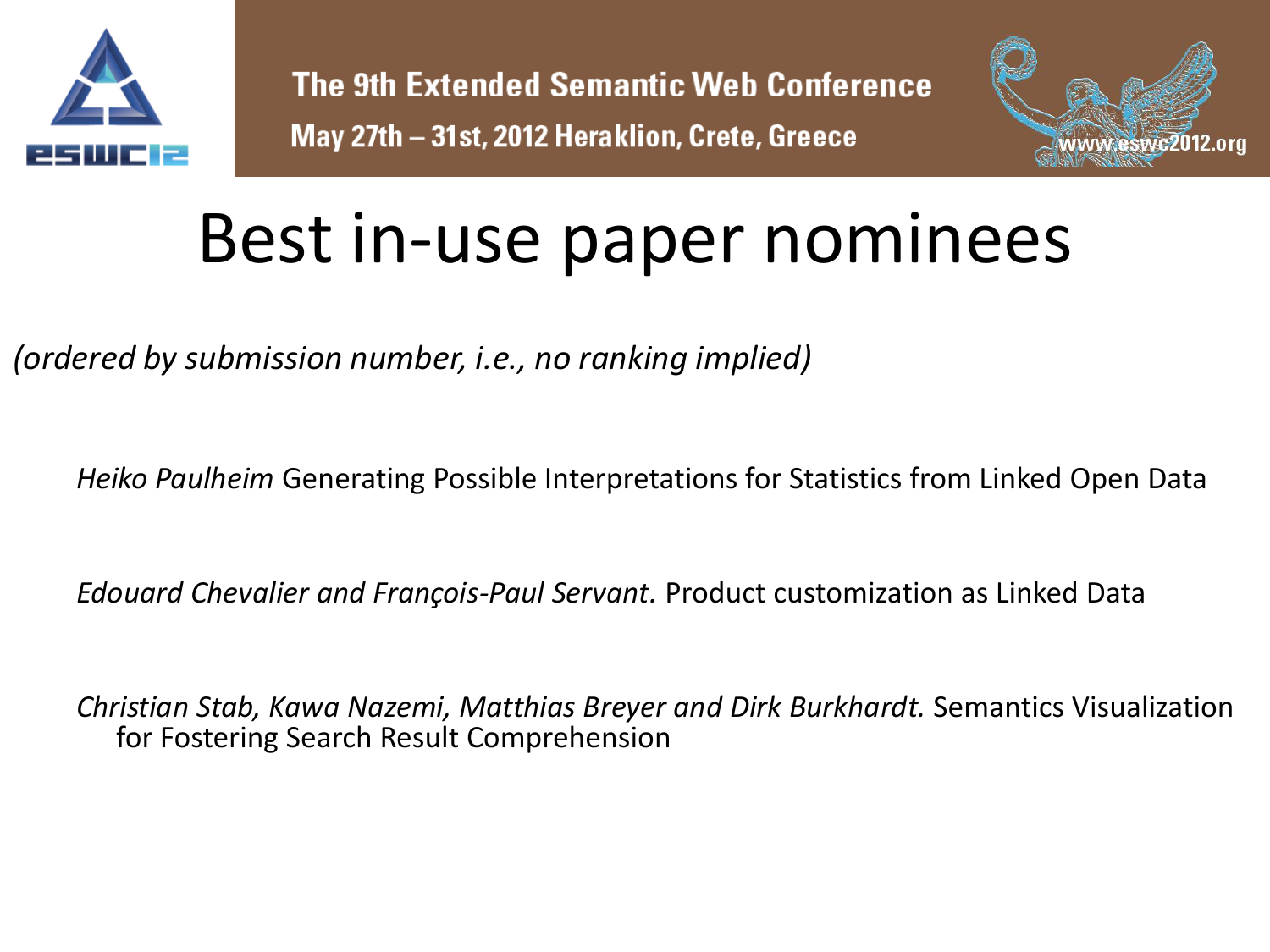



## Best in-use paper nominees

*(ordered by submission number, i.e., no ranking implied)*

*Heiko Paulheim* Generating Possible Interpretations for Statistics from Linked Open Data

*Edouard Chevalier and François-Paul Servant.* Product customization as Linked Data

*Christian Stab, Kawa Nazemi, Matthias Breyer and Dirk Burkhardt.* Semantics Visualization for Fostering Search Result Comprehension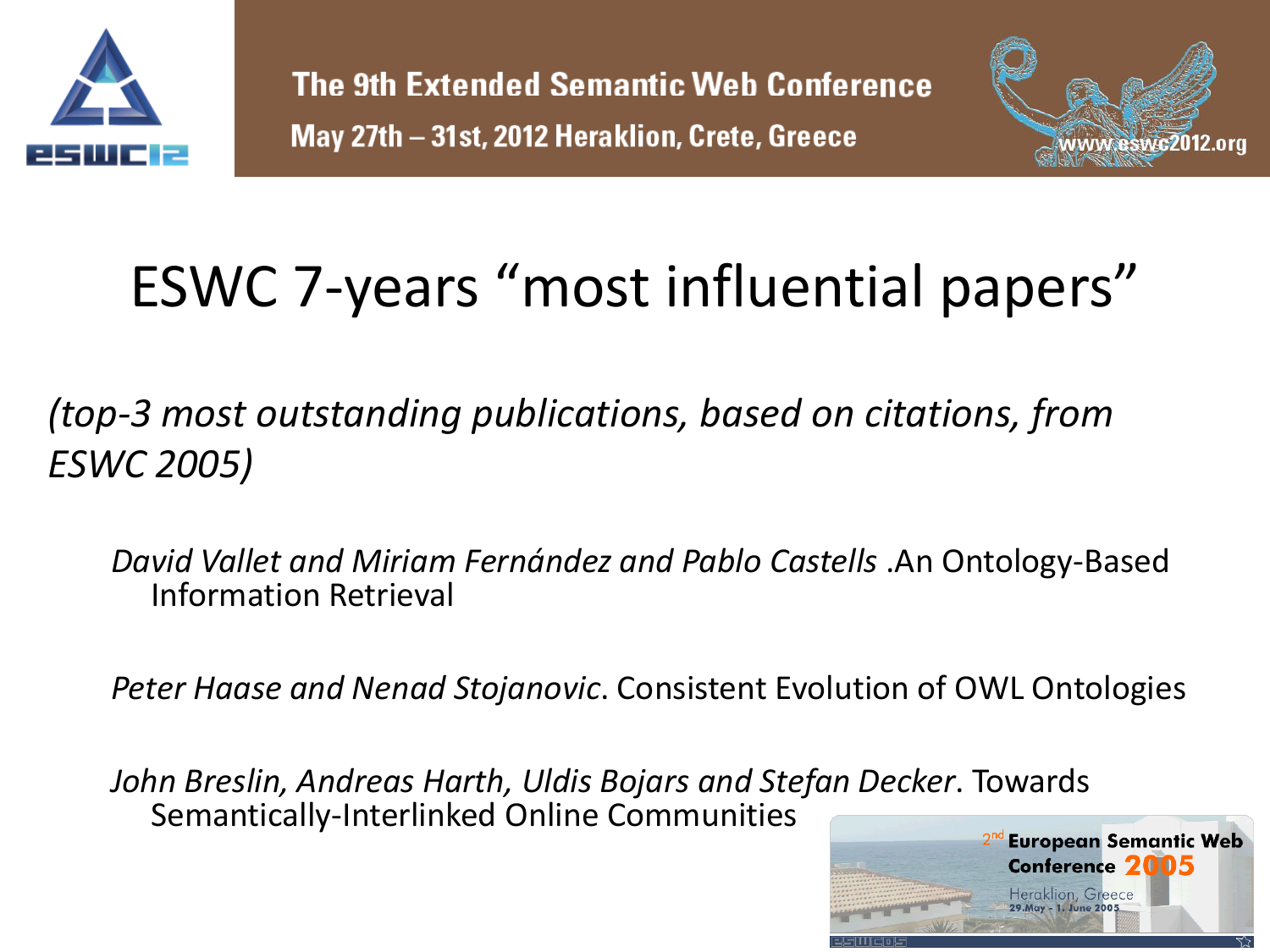



### ESWC 7-years "most influential papers"

*(top-3 most outstanding publications, based on citations, from ESWC 2005)*

*David Vallet and Miriam Fernández and Pablo Castells* .An Ontology-Based Information Retrieval

*Peter Haase and Nenad Stojanovic*. Consistent Evolution of OWL Ontologies

*John Breslin, Andreas Harth, Uldis Bojars and Stefan Decker*. Towards Semantically-Interlinked Online Communities

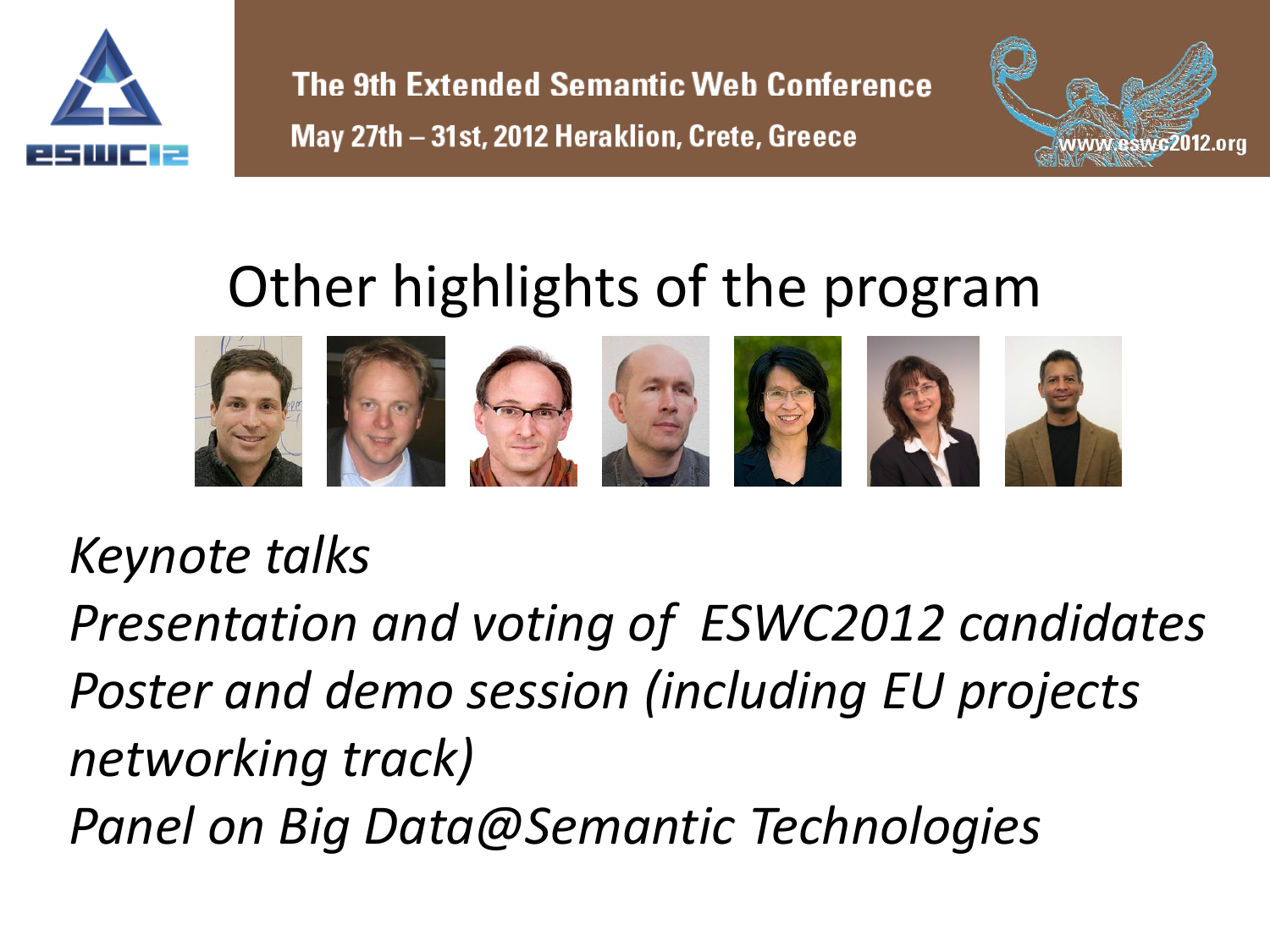



#### Other highlights of the program



#### *Keynote talks*

*Presentation and voting of ESWC2012 candidates Poster and demo session (including EU projects networking track) Panel on Big Data@Semantic Technologies*